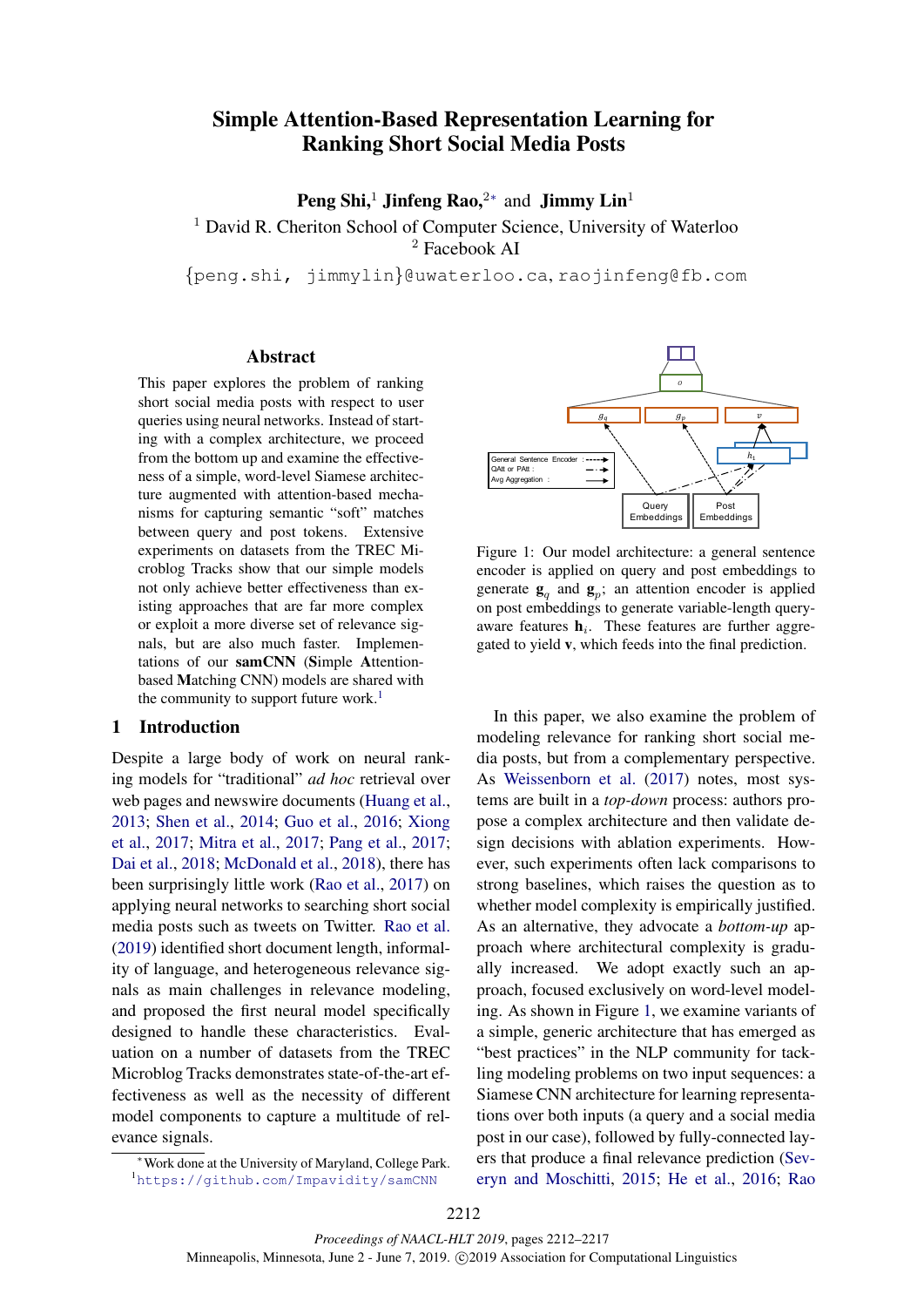# Simple Attention-Based Representation Learning for Ranking Short Social Media Posts

**Peng Shi,<sup>1</sup> Jinfeng Rao,<sup>2\*</sup> and Jimmy Lin<sup>1</sup>** 

<sup>1</sup> David R. Cheriton School of Computer Science, University of Waterloo <sup>2</sup> Facebook AI

{peng.shi, jimmylin}@uwaterloo.ca, raojinfeng@fb.com

# Abstract

This paper explores the problem of ranking short social media posts with respect to user queries using neural networks. Instead of starting with a complex architecture, we proceed from the bottom up and examine the effectiveness of a simple, word-level Siamese architecture augmented with attention-based mechanisms for capturing semantic "soft" matches between query and post tokens. Extensive experiments on datasets from the TREC Microblog Tracks show that our simple models not only achieve better effectiveness than existing approaches that are far more complex or exploit a more diverse set of relevance signals, but are also much faster. Implementations of our samCNN (Simple Attentionbased Matching CNN) models are shared with the community to support future work.<sup>1</sup>

#### 1 Introduction

Despite a large body of work on neural ranking models for "traditional" *ad hoc* retrieval over web pages and newswire documents (Huang et al., 2013; Shen et al., 2014; Guo et al., 2016; Xiong et al., 2017; Mitra et al., 2017; Pang et al., 2017; Dai et al., 2018; McDonald et al., 2018), there has been surprisingly little work (Rao et al., 2017) on applying neural networks to searching short social media posts such as tweets on Twitter. Rao et al. (2019) identified short document length, informality of language, and heterogeneous relevance signals as main challenges in relevance modeling, and proposed the first neural model specifically designed to handle these characteristics. Evaluation on a number of datasets from the TREC Microblog Tracks demonstrates state-of-the-art effectiveness as well as the necessity of different model components to capture a multitude of relevance signals.



Figure 1: Our model architecture: a general sentence encoder is applied on query and post embeddings to generate  $\mathbf{g}_q$  and  $\mathbf{g}_p$ ; an attention encoder is applied on post embeddings to generate variable-length queryaware features  $\mathbf{h}_i$ . These features are further aggregated to yield v, which feeds into the final prediction.

In this paper, we also examine the problem of modeling relevance for ranking short social media posts, but from a complementary perspective. As Weissenborn et al. (2017) notes, most systems are built in a *top-down* process: authors propose a complex architecture and then validate design decisions with ablation experiments. However, such experiments often lack comparisons to strong baselines, which raises the question as to whether model complexity is empirically justified. As an alternative, they advocate a *bottom-up* approach where architectural complexity is gradually increased. We adopt exactly such an approach, focused exclusively on word-level modeling. As shown in Figure 1, we examine variants of a simple, generic architecture that has emerged as "best practices" in the NLP community for tackling modeling problems on two input sequences: a Siamese CNN architecture for learning representations over both inputs (a query and a social media post in our case), followed by fully-connected layers that produce a final relevance prediction (Severyn and Moschitti, 2015; He et al., 2016; Rao

<sup>∗</sup>Work done at the University of Maryland, College Park. <sup>1</sup>https://github.com/Impavidity/samCNN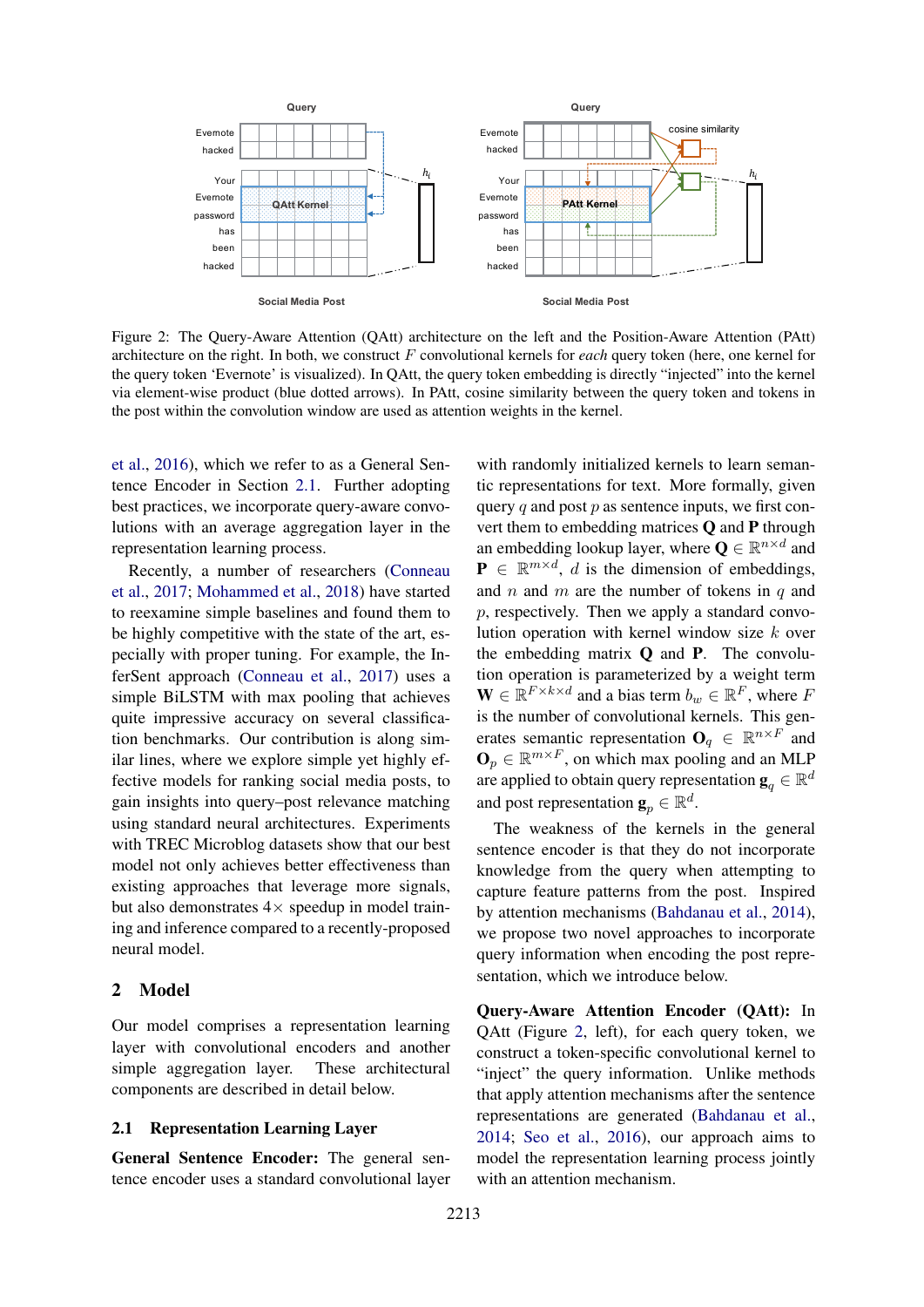

Figure 2: The Query-Aware Attention (QAtt) architecture on the left and the Position-Aware Attention (PAtt) architecture on the right. In both, we construct F convolutional kernels for *each* query token (here, one kernel for the query token 'Evernote' is visualized). In QAtt, the query token embedding is directly "injected" into the kernel via element-wise product (blue dotted arrows). In PAtt, cosine similarity between the query token and tokens in the post within the convolution window are used as attention weights in the kernel.

et al., 2016), which we refer to as a General Sentence Encoder in Section 2.1. Further adopting best practices, we incorporate query-aware convolutions with an average aggregation layer in the representation learning process.

Recently, a number of researchers (Conneau et al., 2017; Mohammed et al., 2018) have started to reexamine simple baselines and found them to be highly competitive with the state of the art, especially with proper tuning. For example, the InferSent approach (Conneau et al., 2017) uses a simple BiLSTM with max pooling that achieves quite impressive accuracy on several classification benchmarks. Our contribution is along similar lines, where we explore simple yet highly effective models for ranking social media posts, to gain insights into query–post relevance matching using standard neural architectures. Experiments with TREC Microblog datasets show that our best model not only achieves better effectiveness than existing approaches that leverage more signals, but also demonstrates  $4 \times$  speedup in model training and inference compared to a recently-proposed neural model.

## 2 Model

Our model comprises a representation learning layer with convolutional encoders and another simple aggregation layer. These architectural components are described in detail below.

## 2.1 Representation Learning Layer

General Sentence Encoder: The general sentence encoder uses a standard convolutional layer

with randomly initialized kernels to learn semantic representations for text. More formally, given query  $q$  and post  $p$  as sentence inputs, we first convert them to embedding matrices Q and P through an embedding lookup layer, where  $\mathbf{Q} \in \mathbb{R}^{n \times d}$  and  $\mathbf{P} \in \mathbb{R}^{m \times d}$ , *d* is the dimension of embeddings, and n and m are the number of tokens in  $q$  and p, respectively. Then we apply a standard convolution operation with kernel window size k over the embedding matrix Q and P. The convolution operation is parameterized by a weight term  $\mathbf{W} \in \mathbb{R}^{F \times k \times d}$  and a bias term  $b_w \in \mathbb{R}^F$ , where F is the number of convolutional kernels. This generates semantic representation  $\mathbf{O}_q \in \mathbb{R}^{n \times F}$  and  $\mathbf{O}_p \in \mathbb{R}^{m \times F}$ , on which max pooling and an MLP are applied to obtain query representation  $\mathbf{g}_q \in \mathbb{R}^d$ and post representation  $\mathbf{g}_p \in \mathbb{R}^d$ .

The weakness of the kernels in the general sentence encoder is that they do not incorporate knowledge from the query when attempting to capture feature patterns from the post. Inspired by attention mechanisms (Bahdanau et al., 2014), we propose two novel approaches to incorporate query information when encoding the post representation, which we introduce below.

Query-Aware Attention Encoder (QAtt): In QAtt (Figure 2, left), for each query token, we construct a token-specific convolutional kernel to "inject" the query information. Unlike methods that apply attention mechanisms after the sentence representations are generated (Bahdanau et al., 2014; Seo et al., 2016), our approach aims to model the representation learning process jointly with an attention mechanism.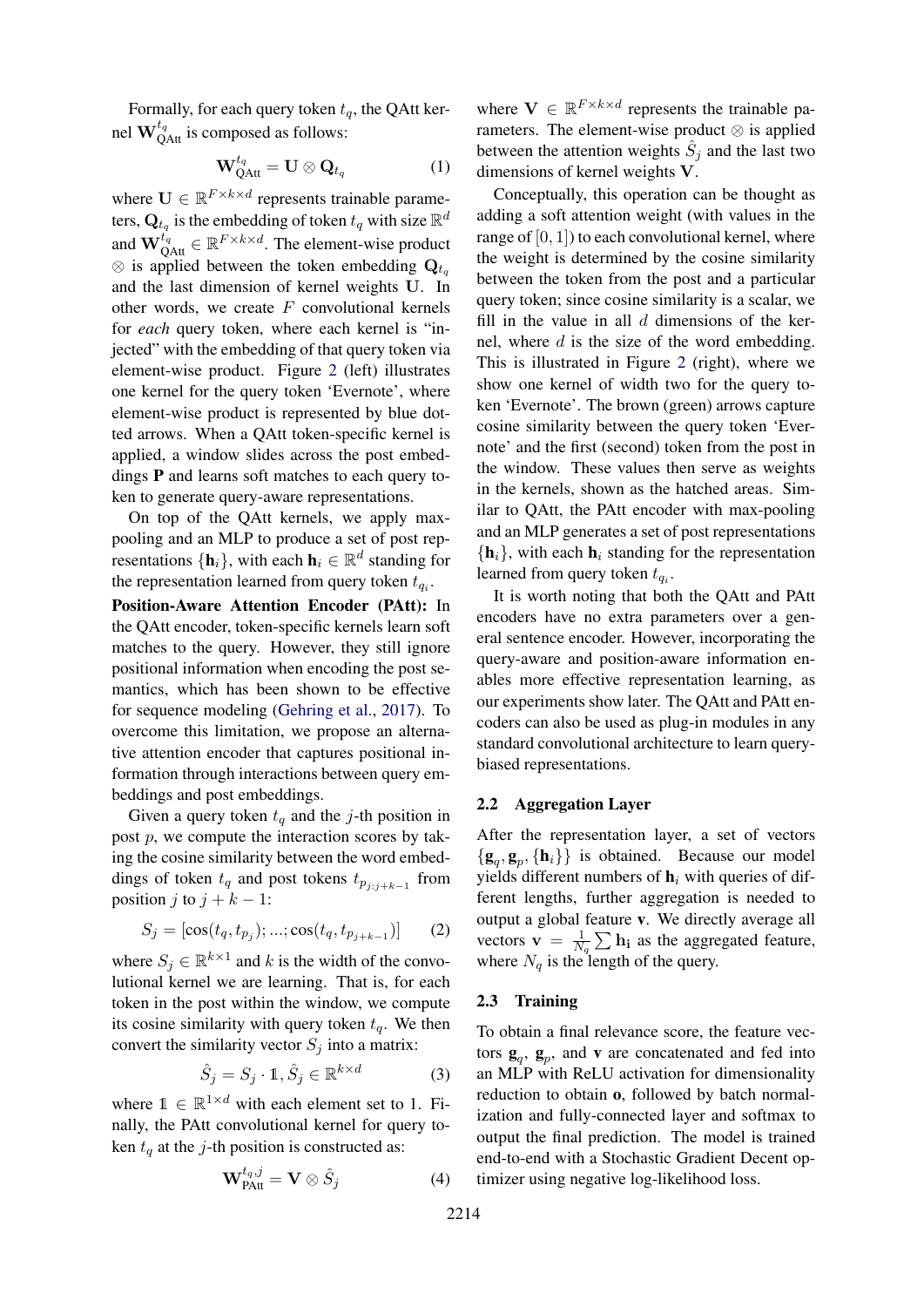Formally, for each query token  $t_q$ , the QAtt kernel  $\mathbf{W}_{\mathrm{QAtt}}^{t_q}$  is composed as follows:

$$
\mathbf{W}_{\mathrm{QAtt}}^{t_q} = \mathbf{U} \otimes \mathbf{Q}_{t_q} \tag{1}
$$

where  $\mathbf{U} \in \mathbb{R}^{F \times k \times d}$  represents trainable parameters,  $\mathbf{Q}_{t_q}$  is the embedding of token  $t_q$  with size  $\mathbb{R}^d$ and  $\mathbf{W}_{\text{QAtt}}^{t_q} \in \mathbb{R}^{F \times k \times d}$ . The element-wise product  $\otimes$  is applied between the token embedding  $Q_{t_q}$ and the last dimension of kernel weights U. In other words, we create  $F$  convolutional kernels for *each* query token, where each kernel is "injected" with the embedding of that query token via element-wise product. Figure 2 (left) illustrates one kernel for the query token 'Evernote', where element-wise product is represented by blue dotted arrows. When a QAtt token-specific kernel is applied, a window slides across the post embeddings P and learns soft matches to each query token to generate query-aware representations.

On top of the QAtt kernels, we apply maxpooling and an MLP to produce a set of post representations  $\{\mathbf h_i\}$ , with each  $\mathbf h_i \in \mathbb{R}^d$  standing for the representation learned from query token  $t_{q_i}$ .

Position-Aware Attention Encoder (PAtt): In the QAtt encoder, token-specific kernels learn soft matches to the query. However, they still ignore positional information when encoding the post semantics, which has been shown to be effective for sequence modeling (Gehring et al., 2017). To overcome this limitation, we propose an alternative attention encoder that captures positional information through interactions between query embeddings and post embeddings.

Given a query token  $t_q$  and the j-th position in post  $p$ , we compute the interaction scores by taking the cosine similarity between the word embeddings of token  $t_q$  and post tokens  $t_{p_{j:j+k-1}}$  from position j to  $j + k - 1$ :

$$
S_j = [\cos(t_q, t_{p_j}); \dots; \cos(t_q, t_{p_{j+k-1}})] \qquad (2)
$$

where  $S_j \in \mathbb{R}^{k \times 1}$  and k is the width of the convolutional kernel we are learning. That is, for each token in the post within the window, we compute its cosine similarity with query token  $t_q$ . We then convert the similarity vector  $S_i$  into a matrix:

$$
\hat{S}_j = S_j \cdot \mathbb{1}, \hat{S}_j \in \mathbb{R}^{k \times d} \tag{3}
$$

where  $\mathbb{1} \in \mathbb{R}^{1 \times d}$  with each element set to 1. Finally, the PAtt convolutional kernel for query token  $t_q$  at the j-th position is constructed as:

$$
\mathbf{W}_{\mathrm{PAtt}}^{t_q,j} = \mathbf{V} \otimes \hat{S}_j \tag{4}
$$

where  $\mathbf{V} \in \mathbb{R}^{F \times k \times d}$  represents the trainable parameters. The element-wise product  $\otimes$  is applied between the attention weights  $\hat{S}_j$  and the last two dimensions of kernel weights V.

Conceptually, this operation can be thought as adding a soft attention weight (with values in the range of  $[0, 1]$ ) to each convolutional kernel, where the weight is determined by the cosine similarity between the token from the post and a particular query token; since cosine similarity is a scalar, we fill in the value in all  $d$  dimensions of the kernel, where  $d$  is the size of the word embedding. This is illustrated in Figure 2 (right), where we show one kernel of width two for the query token 'Evernote'. The brown (green) arrows capture cosine similarity between the query token 'Evernote' and the first (second) token from the post in the window. These values then serve as weights in the kernels, shown as the hatched areas. Similar to QAtt, the PAtt encoder with max-pooling and an MLP generates a set of post representations  $\{h_i\}$ , with each  $h_i$  standing for the representation learned from query token  $t_{q_i}$ .

It is worth noting that both the QAtt and PAtt encoders have no extra parameters over a general sentence encoder. However, incorporating the query-aware and position-aware information enables more effective representation learning, as our experiments show later. The QAtt and PAtt encoders can also be used as plug-in modules in any standard convolutional architecture to learn querybiased representations.

### 2.2 Aggregation Layer

After the representation layer, a set of vectors  $\{g_q, g_p, \{h_i\}\}\$ is obtained. Because our model yields different numbers of  $h_i$  with queries of different lengths, further aggregation is needed to output a global feature v. We directly average all vectors  $\mathbf{v} = \frac{1}{N}$  $\frac{1}{N_q}$   $\sum$   $\mathbf{h_i}$  as the aggregated feature, where  $N_q$  is the length of the query.

## 2.3 Training

To obtain a final relevance score, the feature vectors  $\mathbf{g}_q$ ,  $\mathbf{g}_p$ , and **v** are concatenated and fed into an MLP with ReLU activation for dimensionality reduction to obtain o, followed by batch normalization and fully-connected layer and softmax to output the final prediction. The model is trained end-to-end with a Stochastic Gradient Decent optimizer using negative log-likelihood loss.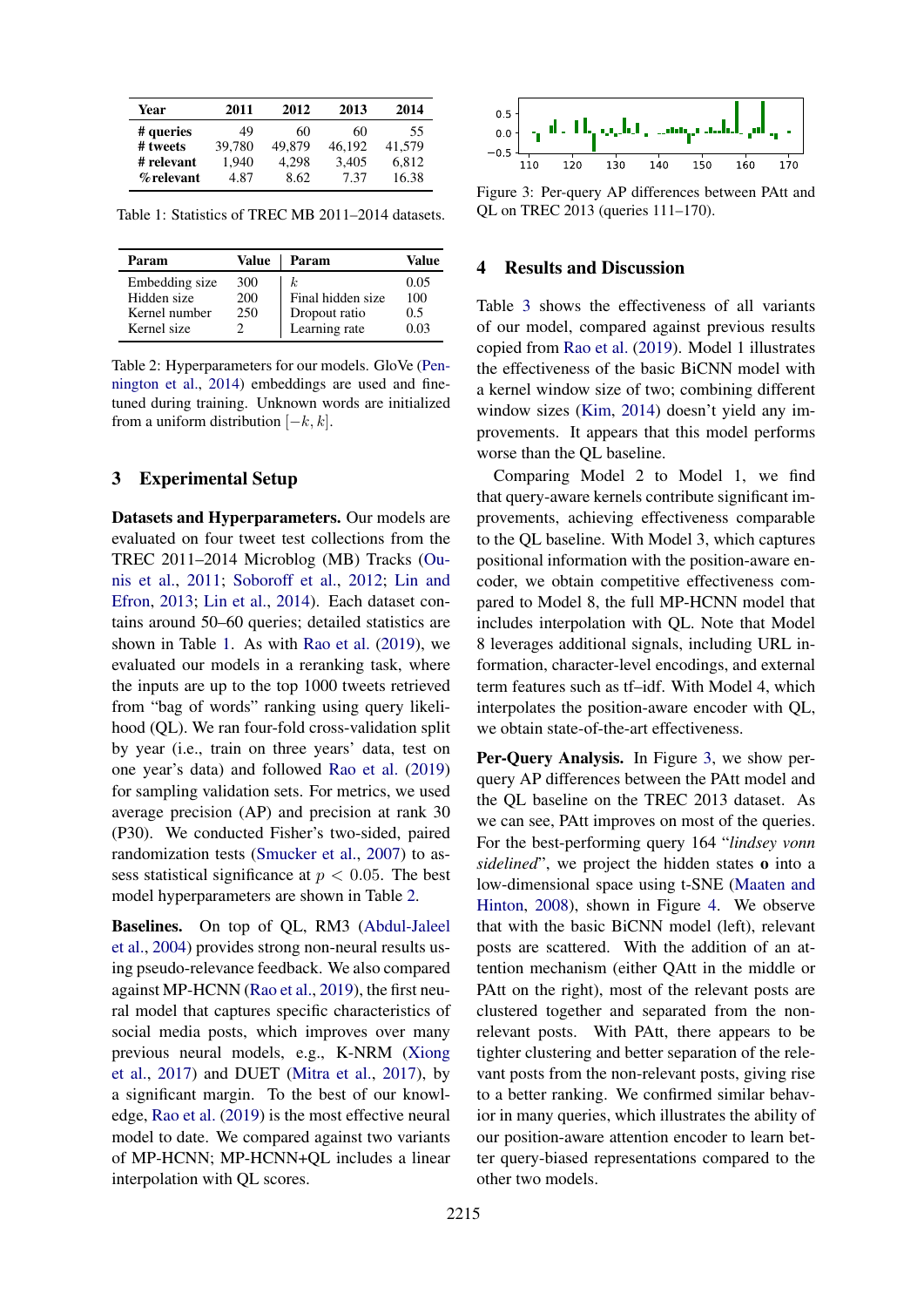| Year       | 2011   | 2012   | 2013   | 2014   |
|------------|--------|--------|--------|--------|
| # queries  | 49     | 60     | 60     | 55     |
| # tweets   | 39.780 | 49,879 | 46,192 | 41,579 |
| # relevant | 1.940  | 4.298  | 3,405  | 6,812  |
| % relevant | 4.87   | 8.62   | 7.37   | 16.38  |

Table 1: Statistics of TREC MB 2011–2014 datasets.

| Param          | Value | Param             | Value |
|----------------|-------|-------------------|-------|
| Embedding size | 300   | k.                | 0.05  |
| Hidden size    | 200   | Final hidden size | 100   |
| Kernel number  | 250   | Dropout ratio     | 0.5   |
| Kernel size    |       | Learning rate     | 0.03  |

Table 2: Hyperparameters for our models. GloVe (Pennington et al., 2014) embeddings are used and finetuned during training. Unknown words are initialized from a uniform distribution  $[-k, k]$ .

### 3 Experimental Setup

Datasets and Hyperparameters. Our models are evaluated on four tweet test collections from the TREC 2011–2014 Microblog (MB) Tracks (Ounis et al., 2011; Soboroff et al., 2012; Lin and Efron, 2013; Lin et al., 2014). Each dataset contains around 50–60 queries; detailed statistics are shown in Table 1. As with Rao et al. (2019), we evaluated our models in a reranking task, where the inputs are up to the top 1000 tweets retrieved from "bag of words" ranking using query likelihood (QL). We ran four-fold cross-validation split by year (i.e., train on three years' data, test on one year's data) and followed Rao et al. (2019) for sampling validation sets. For metrics, we used average precision (AP) and precision at rank 30 (P30). We conducted Fisher's two-sided, paired randomization tests (Smucker et al., 2007) to assess statistical significance at  $p < 0.05$ . The best model hyperparameters are shown in Table 2.

Baselines. On top of QL, RM3 (Abdul-Jaleel et al., 2004) provides strong non-neural results using pseudo-relevance feedback. We also compared against MP-HCNN (Rao et al., 2019), the first neural model that captures specific characteristics of social media posts, which improves over many previous neural models, e.g., K-NRM (Xiong et al., 2017) and DUET (Mitra et al., 2017), by a significant margin. To the best of our knowledge, Rao et al. (2019) is the most effective neural model to date. We compared against two variants of MP-HCNN; MP-HCNN+QL includes a linear interpolation with QL scores.



Figure 3: Per-query AP differences between PAtt and QL on TREC 2013 (queries 111–170).

# 4 Results and Discussion

Table 3 shows the effectiveness of all variants of our model, compared against previous results copied from Rao et al. (2019). Model 1 illustrates the effectiveness of the basic BiCNN model with a kernel window size of two; combining different window sizes (Kim, 2014) doesn't yield any improvements. It appears that this model performs worse than the QL baseline.

Comparing Model 2 to Model 1, we find that query-aware kernels contribute significant improvements, achieving effectiveness comparable to the QL baseline. With Model 3, which captures positional information with the position-aware encoder, we obtain competitive effectiveness compared to Model 8, the full MP-HCNN model that includes interpolation with QL. Note that Model 8 leverages additional signals, including URL information, character-level encodings, and external term features such as tf–idf. With Model 4, which interpolates the position-aware encoder with QL, we obtain state-of-the-art effectiveness.

Per-Query Analysis. In Figure 3, we show perquery AP differences between the PAtt model and the QL baseline on the TREC 2013 dataset. As we can see, PAtt improves on most of the queries. For the best-performing query 164 "*lindsey vonn sidelined*", we project the hidden states o into a low-dimensional space using t-SNE (Maaten and Hinton, 2008), shown in Figure 4. We observe that with the basic BiCNN model (left), relevant posts are scattered. With the addition of an attention mechanism (either QAtt in the middle or PAtt on the right), most of the relevant posts are clustered together and separated from the nonrelevant posts. With PAtt, there appears to be tighter clustering and better separation of the relevant posts from the non-relevant posts, giving rise to a better ranking. We confirmed similar behavior in many queries, which illustrates the ability of our position-aware attention encoder to learn better query-biased representations compared to the other two models.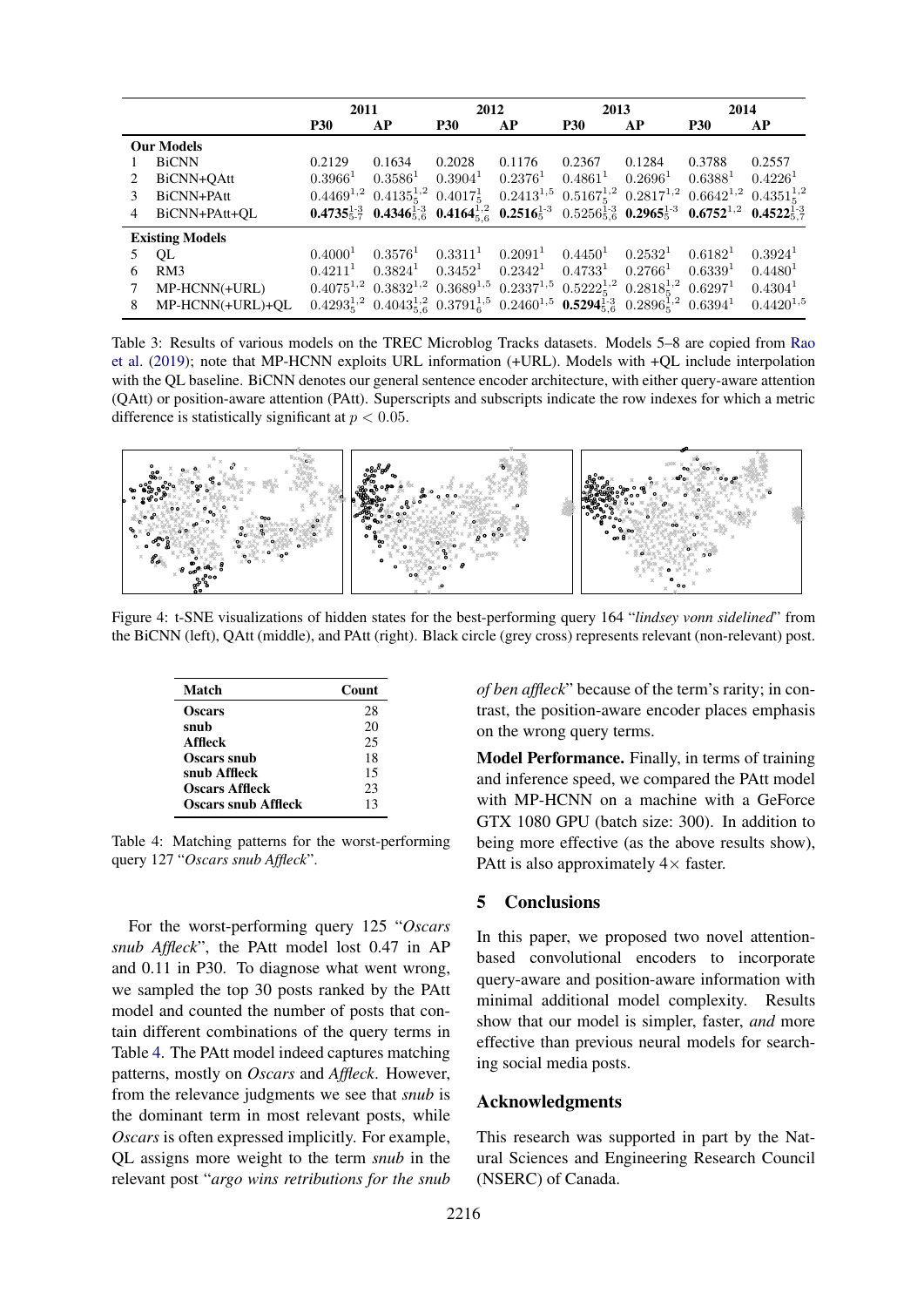|                             |                        | 2011                |                       | 2012         |                                  | 2013                                                                                                                                                                |            | 2014                |                       |
|-----------------------------|------------------------|---------------------|-----------------------|--------------|----------------------------------|---------------------------------------------------------------------------------------------------------------------------------------------------------------------|------------|---------------------|-----------------------|
|                             |                        | <b>P30</b>          | АP                    | <b>P30</b>   | АP                               | <b>P30</b>                                                                                                                                                          | AP         | <b>P30</b>          | АP                    |
| <b>Our Models</b>           |                        |                     |                       |              |                                  |                                                                                                                                                                     |            |                     |                       |
|                             | <b>BiCNN</b>           | 0.2129              | 0.1634                | 0.2028       | 0.1176                           | 0.2367                                                                                                                                                              | 0.1284     | 0.3788              | 0.2557                |
| $\mathcal{D}_{\mathcal{L}}$ | BiCNN+OAtt             | $0.3966^1$          | $0.3586^{1}$          | $0.3904^1$   | $0.2376^1$                       | $0.4861^{1}$                                                                                                                                                        | $0.2696^1$ | $0.6388^{1}$        | $0.4226$ <sup>1</sup> |
|                             | BiCNN+PAtt             |                     |                       |              |                                  | $0.4469^{1,2}$ $0.4135^{1,2}_5$ $0.4017^1_5$ $0.2413^{1,5}$ $0.5167^{1,2}_5$ $0.2817^{1,2}$ $0.6642^{1,2}$ $0.4351^{1,2}_5$                                         |            |                     |                       |
| 4                           | BiCNN+PAtt+OL          |                     |                       |              |                                  | $0.4735_{5.7}^{1.3}$ $0.4346_{5.6}^{1.3}$ $0.4164_{5.6}^{1.2}$ $0.2516_{5}^{1.3}$ $0.5256_{5.6}^{1.3}$ $0.2965_{5}^{1.3}$ $0.6752_{1.2}^{1.2}$ $0.4522_{5.7}^{1.3}$ |            |                     |                       |
|                             | <b>Existing Models</b> |                     |                       |              |                                  |                                                                                                                                                                     |            |                     |                       |
|                             | QL                     | 0.4000 <sup>1</sup> | 0.3576 <sup>1</sup>   | $0.3311^{1}$ | $0.2091^1$                       | 0.4450 <sup>1</sup>                                                                                                                                                 | $0.2532^1$ | 0.6182 <sup>1</sup> | 0.3924 <sup>1</sup>   |
| 6                           | RM3                    | $0.4211^1$          | $0.3824$ <sup>1</sup> |              | $0.3452^1$ $0.2342^1$ $0.4733^1$ |                                                                                                                                                                     | $0.2766^1$ | $0.6339^{1}$        | 0.4480 <sup>1</sup>   |
|                             | MP-HCNN(+URL)          |                     |                       |              |                                  | $0.4075^{1,2}$ $0.3832^{1,2}$ $0.3689^{1,5}$ $0.2337^{1,5}$ $0.5222^{1,2}_{5}$ $0.2818^{1,2}_{5}$ $0.6297^{1}$                                                      |            |                     | $0.4304^{\text{T}}$   |
| 8                           | MP-HCNN(+URL)+OL       |                     |                       |              |                                  | $0.4293_5^{1,2}$ $0.4043_{5.6}^{1,2}$ $0.3791_6^{1,5}$ $0.2460^{1,5}$ $0.5294_{5.6}^{1,3}$ $0.2896_5^{1,2}$ $0.6394^1$                                              |            |                     | $0.4420^{1,5}$        |

Table 3: Results of various models on the TREC Microblog Tracks datasets. Models 5–8 are copied from Rao et al. (2019); note that MP-HCNN exploits URL information (+URL). Models with +QL include interpolation with the QL baseline. BiCNN denotes our general sentence encoder architecture, with either query-aware attention (QAtt) or position-aware attention (PAtt). Superscripts and subscripts indicate the row indexes for which a metric difference is statistically significant at  $p < 0.05$ .



Figure 4: t-SNE visualizations of hidden states for the best-performing query 164 "*lindsey vonn sidelined*" from the BiCNN (left), QAtt (middle), and PAtt (right). Black circle (grey cross) represents relevant (non-relevant) post.

| Match                      | Count |
|----------------------------|-------|
| <b>Oscars</b>              | 28    |
| snub                       | 20    |
| <b>Affleck</b>             | 25    |
| Oscars snub                | 18    |
| snub Affleck               | 15    |
| <b>Oscars Affleck</b>      | 23    |
| <b>Oscars snub Affleck</b> | 13    |

Table 4: Matching patterns for the worst-performing query 127 "*Oscars snub Affleck*".

For the worst-performing query 125 "*Oscars snub Affleck*", the PAtt model lost 0.47 in AP and 0.11 in P30. To diagnose what went wrong, we sampled the top 30 posts ranked by the PAtt model and counted the number of posts that contain different combinations of the query terms in Table 4. The PAtt model indeed captures matching patterns, mostly on *Oscars* and *Affleck*. However, from the relevance judgments we see that *snub* is the dominant term in most relevant posts, while *Oscars* is often expressed implicitly. For example, QL assigns more weight to the term *snub* in the relevant post "*argo wins retributions for the snub*

*of ben affleck*" because of the term's rarity; in contrast, the position-aware encoder places emphasis on the wrong query terms.

Model Performance. Finally, in terms of training and inference speed, we compared the PAtt model with MP-HCNN on a machine with a GeForce GTX 1080 GPU (batch size: 300). In addition to being more effective (as the above results show), PAtt is also approximately  $4 \times$  faster.

### 5 Conclusions

In this paper, we proposed two novel attentionbased convolutional encoders to incorporate query-aware and position-aware information with minimal additional model complexity. Results show that our model is simpler, faster, *and* more effective than previous neural models for searching social media posts.

#### Acknowledgments

This research was supported in part by the Natural Sciences and Engineering Research Council (NSERC) of Canada.